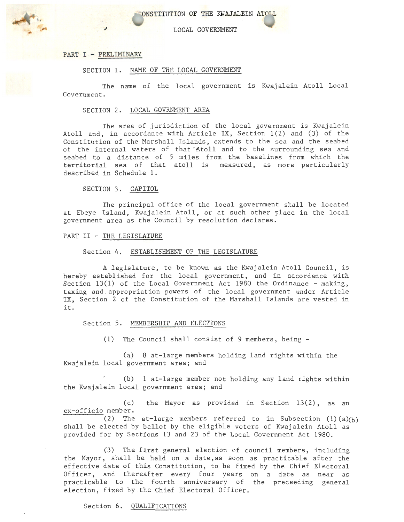ONSTITUTION OF THE KWAJALEIN ATOLL

LOCAL GOVERNMENT

### PART I - PRELIMINARY

#### SECTION 1. NAME OF THE LOCAL GOVERNMENT

The name of the local government is Kwajalein Atoll Local Government.

### SECTION 2. LOCAL GOVRNMENT AREA

The area of jurisdiction of the local government is Kwajalein Atoll and, in accordance with Article IX, Section  $1(2)$  and  $(3)$  of the Constitution of the Marshall Islands, extends to the sea and the seabed of the internal waters of that Atoll and to the surrounding sea and seabed to a distance of 5 miles from the baselines from which the territorial sea of that atoll is measured, as more particularly described in Schedule 1.

SECTION 3. CAPITOL

The principal office of the local government shall be located at Ebeye Island, Kwajalein Atoll, or at such other place in the local government area as the Council by resolution declares.

## PART II - THE LEGISLATURE

#### Section 4. ESTABLISHMENT OF THE LEGISLATURE

A legislature, to be known as the Kwajalein Atoll Council, is hereby established for the local government, and in accordance with Section 13(1) of the Local Government Act 1980 the Ordinance - making, taxing and . appropriation powers of the local government under Article IX, Section 2 of the Constitution of the Marshall Islands are vested in it.

## Section 5. MEMBERSHIP AND ELECTIONS

(1) The Council shall consist of 9 members, being -

(a) 8 at-large members holding land rights within the Kwajalein local government area; and

(b) 1 at-large member not holding any land rights within the Kwajalein local government area; and

(c) the Mayor as provided in Section 13(2), as an ex-officio member.

(2) The at-large members referred to in Subsection  $(1)$   $(a)$ <sub>(b)</sub> shall be elected by ballot by the eligible voters of Kwajalein Atoll as provided for by Sections 13 and 23 of the Local Government Act 1980.

(3) The first general election of council members, including the Mayor, shall be held on a date,as soon as practicable after the effective date of this Constitution, to be fixed by the Chief Electoral Officer, and thereafter every four years on a date as near as practicable to the fourth anniversary of the preceeding general election, fixed by the Chief Electoral Officer.

### Section 6. QUALIFICATIONS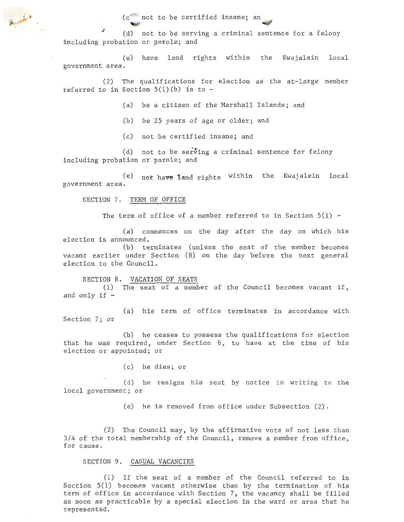$(c^{\text{max}})$  not to be certified insane; an

(d) not to be serving a criminal sentence for a felony including probation or parole; and

(e) have land rights within the Kwajalein local government area .

(2) The qualifications for election as the at-large member referred to in Section  $5(1)(b)$  is to -

(a) be a citizen of the Marshall Islands; and

(b) be 25 years of age or older; and

(c) not be certified insane; and

(d) not to be serving a criminal sentence for felony including probation or parole; and

 $(e)$  not have land rights within the Kwajalein local government area.

SECTION 7. TERM OF OFFICE

The term of office of a member referred to in Section  $5(1)$  -

(a) commences on the day after the day on which his election is announced.

(b) terminates (unless the seat of the member becomes vacant earlier under Section (8) on the day before the next general election to the Council.

### SECTION 8. VACATION OF SEATS

(1) The seat of a member of the Council becomes vacant if, and only if -

(a) his term of office terminates in accordance with Section 7; or

(b) he ceases to possess the qualifications for election that he was required, under Section 6, to have at the time of his election or appointed; or

(c) he dies; or

(d) he resigns his seat by notice in writing to the local government; or

(e) he is removed from office under Subsection (2).

(2) The Council may, by the affirmative vote of not less than 3/4 of the total membership of the Council, remove a member from office, for cause.

## SECTION 9. CASUAL VACANCIES

(1) If the seat . of a member of the Council referred to in Section 5(1) becomes vacant otherwise than by the termination of his term of office in accordance with Section 7, the vacancy shall be filled as soon as practicable by. a special election in the ward or area that he represented.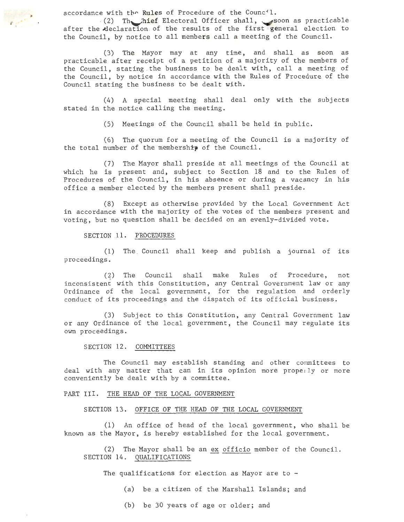accordance with the Rules of Procedure of the Council.

*r* 

. (2) The hief Electoral Officer shall, soon as practicable after the declaration of the results of the first general election to the Council, by notice to all members call a meeting of the Council.

(3) The Mayor may at any time, and shall as soon as practicable after receipt of a petition of a majority of the members of the Council, stating . the business to be dealt with, call a meeting of the Council, by notice in accordance with the Rules of Procedure of the Council stating the business to be dealt with.

(4) A special meeting shall deal only with the subjects stated in the notice calling the meeting.

(5) Meetings of the Council shall be held in public.

(6) The quorum for a meeting of the Council is a majority of the total number of the membership of the Council.

(7) The Mayor shall preside at all meetings of the Council at which he is present and, subject to Section 18 and to the Rules of Procedures of the Council, in his absence or during a vacancy in his office a member elected by the members present shall preside.

(8) Except as otherwise provided by the Local Government Act in accordance with the majority of the votes of the members present and voting, but no question shall be decided on an evenly-divided vote.

SECTION 11. PROCEDURES

(1) The Council shall keep and publish a journal of its proceedings.

(2) The Council shall make Rules of Procedure, not inconsistent with this Constitution, any Central Government law or any Ordinance of the local government, for the regulation and orderly conduct of its proceedings and the dispatch of its official business.

(3) Subject to this Constitution, any Central Government law or any Ordinance of the local government, the Council may regulate its own proceedings.

SECTION 12. COMMITTEES

The Council may establish standing and other committees to deal with any matter that can in its opinion more properly or more conveniently be dealt with by a committee.

## PART III. THE HEAD OF THE LOCAL GOVERNMENT

SECTION 13. OFFICE OF THE HEAD OF THE LOCAL GOVERNMENT

(1) An office of head of the local government, who shall be known as the Mayor, is hereby established for the local government.

(2) The Mayor shall be an ex officio member of the Council. SECTION 14. QUALIFICATIONS

The qualifications for election as Mayor are to  $-$ 

- (a) be a citizen of the Marshall Islands; and
- (b) be 30 years of age or older; and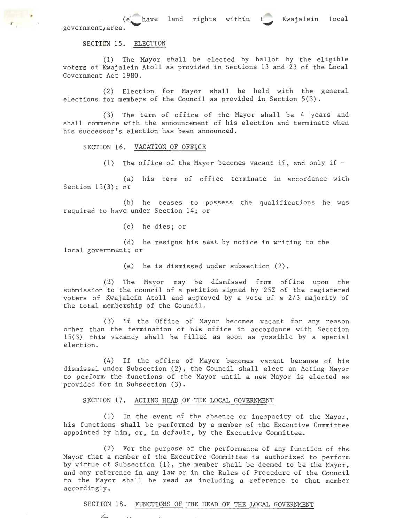(e government, area.

## SECTION 15. ELECTION

(1) The Mayor shall be elected by ballot by the eligible voters of Kwajalein Atoll as provided in Sections 13 and 23 of the Local Government Act 1980.

(2) Election for Mayor shall be held with the general elections for members of the Council as provided in Section 5(3).

(3) The term of office of the Mayor shall be 4 years and shall commence with the announcement of his election and terminate when his successor's election has been announced.

SECTION 16. VACATION OF OFFICE

(1) The office of the Mayor becomes vacant if, and only if  $-$ 

 $(a)$  his term of office terminate in accordance with Section  $15(3)$ ; or

(b) he ceases to possess the qualifications he was required to have under Section 14; or

(c) he dies; or

(d) he resigns his seat by notice in writing to the local government; or

(e) he is dismissed under subsection (2).

(2) The Mayor may be dismissed from office upon the submission to the council of a petition signed by 25% of the registered voters of Kwajalein Atoll and approved by a vote of a 2/3 majority of the total membership of the Council.

(3) If the Office of Mayor becomes vacant for any reason other than the termination of his office in accordance with Secction 15(3) this vacancy shall be filled as soon as possible by a special election.

(4) If the office of Mayor becomes vacant because of his dismissal under Subsection (2), the Council shall elect an Acting Mayor to perform· the functions of the Mayor until a new Mayor is elected as provided for in Subsection (3).

SECTION 17. ACTING HEAD OF THE LOCAL GOVERNMENT

/\_\_

(1) In the event of the absence or incapacity of the Mayor, his functions shall be performed by a member of the Executive Committee appointed by him, or, in default, by the Executive Committee.

(2) For the purpose of the performance of any function of the Mayor that a member of the Executive Committee is authorized to perform by virtue of Subsection (1), the member shall be deemed to be the Mayor, and any reference in any law or in the Rules of Procedure of the Council to the Mayor shall be read as including a reference to that member accordingly.

## SECTION 18. FUNCTIONS OF THE HEAD OF THE LOCAL GOVERNMENT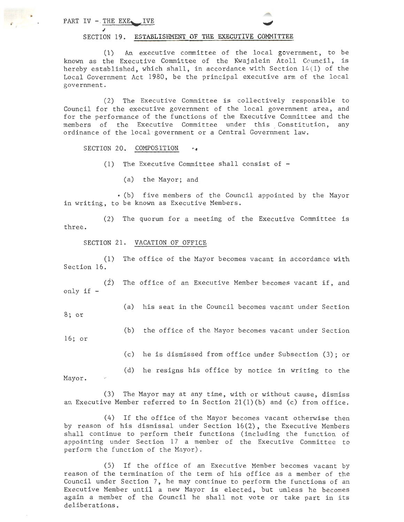PART IV  $-$  THE EXE.

### SECTION 19. ESTABLISHMENT OF THE EXECUTIVE COMMITTEE

(1) An executive committee of the local government, to be known as the Executive Committee of the Kwajalein Atoll Council, is hereby established, which shall, in accordance with Section  $14(1)$  of the Local Government Act 1980, be the principal executive arm of the local government .

(2) The Executive Committee is collectively responsible to Council for the executive government of the local government area, and for the performance of the functions of the Executive Committee and the members of the Executive Committee under this Constitution, any ordinance of the local government or a Central Government law.

SECTION 20. COMPOSITION

(1) The Executive Committee shall consist of  $-$ 

(a) the Mayor; and

• (b) five members of the Council appointed by the Mayor in writing, to be known as Executive Members.

(2) The quorum for a meeting of the Executive Committee is three.

## SECTION 21. VACATION OF OFFICE

(1) The office of the Mayor becomes vacant in accordance with Section 16.

 $(\dot{2})$  The office of an Executive Member becomes vacant if, and only if -

(a) his seat in the Council becomes vacant under Section 8; or

(b) the office of the Mayor becomes vacant under Section 16; or

(c) he is dismissed from office under Subsection (3); or

(d) he resigns his office by notice in writing to the

Mayor.

(3) The Mayor may at any time, with or without cause, dismiss an Executive Member referred to in Section  $21(1)(b)$  and (c) from office.

(4) If the office of the Mayor becomes vacant otherwise then by reason of his dismissal under Section 16(2), the Executive Members shall continue to perform their functions (including the function of appointing under Section 17 a member of the Executive Committee to perform the function of the Mayor).

(5) If the office of an Executive Member becomes vacant by reason of the termination of the term of his office as a member of the Council under Section 7, he may continue to perform the functions of an Executive Member until a new Mayor is elected, but unless he becomes again a member of the Council he shall not vote or take part in its deliberations.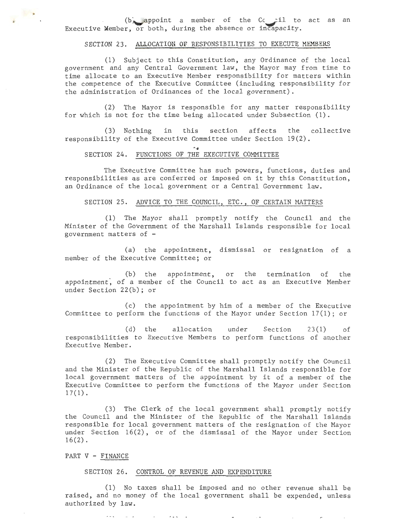$(b)$  appoint a member of the Cc  $il$  to act as an Executive Member, or both, during the absence or incapacity.

# SECTION 23. ALLOCATION OF RESPONSIBILITIES TO EXECUTE MEMBERS

(1) Subject to this Constitution, any Ordinance of the local government and any Central Government law, the Mayor may from time to time alloeate to an Executive Member responsibility for matters within the competence of the Executive Committee (including responsibility for the administration of Ordinances of the local government).

(2) The Mayor is responsible for any matter responsibility for which is not for the time being allocated under Subsection (1).

(3) Nothing in this section affects the collective responsibility of the Executive Committee under Section 19(2).

 $\sim$ 

## SECTION. 24. FUNCTIONS OF THE EXECUTIVE COMMITTEE

The Executive Committee has such powers, functions, duties and responsibilities as are conferred or imposed on it by this Constitution, an Ordinance of the local government or a Central Government law.

# SECTION 25. ADVICE TO THE COUNCIL, ETC., OF CERTAIN MATTERS

(1) The Mayor shall promptly notify the Council and the Minister of the Government of the Marshall Islands responsible for local government matters of  $-$ 

(a) the appointment, dismissal or resignation of a member of the Executive Committee; or

(b) the appointment, or the termination of the appointment, of a member of the Council to act as an Executive Member under Section 22(b); or

(c) the appointment by him of a member of the Executive Committee to perform the functions of the Mayor under Section 17(1); or

(d) the allocation responsibilities to Executive Members to perform functions of another Executive Member. Section  $23(1)$  of

(2) The Executive Committee shall promptly notify the Council and the Minister of the Republic of the Marshall Islands responsible for local government matters of the appointment by it of a member of the Executive Committee to perform the functions of the Mayor under Section  $17(1)$ .

(3) The Clerk of the local government shall promptly notify the Council and the Minister of the Republic of the Marshall Islands responsible for local government matters of the resignation of the Mayor under Section 16(2), or of the dismissal of the Mayor under Section  $16(2)$ .

## PART V - FINANCE

 $\lambda = 1$ 

 $\sim$   $\sim$ 

### SECTION 26. CONTROL OF REVENUE AND EXPENDITURE

 $\lambda + \lambda = 1$ 

(1) No taxes shall be imposed and no other revenue shall be raised, and no money of the local government shall be expended, unless authorized by law.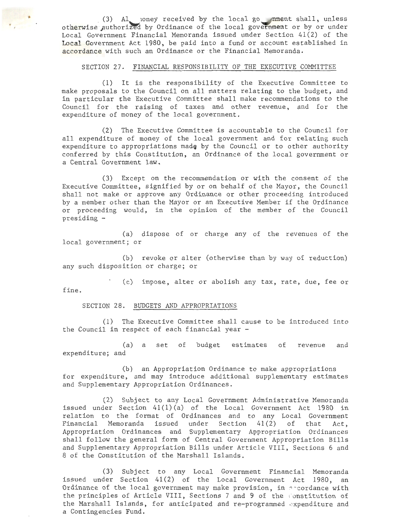(3) Al noney received by the local go nment shall, unless otherwise authorized by Ordinance of the local government or by or under Local Government Financial Memoranda issued under Section  $41(2)$  of the Local Government Act 1980, be paid into a fund or account established in accordance with such an Ordinance or the Financial Memoranda.

## SECTION. 27. FINANCIAL RESPONSIBILITY OF THE EXECUTIVE COMMITTEE

(1) It is the responsibility of the Executive Committee to make proposals to the Council on all matters relating to the budget, and in particular the Executive Committee shall make recommendations to the Council for . the raising of taxes and other revenue, and for the expenditure of money of the local government.

(2) The Executive Committee is accountable to the Council for all expenditure of money of the local government and for relating such expenditure to appropriations made by the Council or to other authority conferred by this Constitution, an Ordinance of the local government or a Central Government law.

(3) Except on the recommendation or with the consent of the Executive Committee, signified by or on behalf of the Mayor, the Council shall not make or approve any Ordinance or other proceeding introduced by a member other than the Mayor or an Executive Member if the Ordinance or proceeding would, in the opinion of the member of the Council presiding -

(a) dispose of or charge any of the revenues of the local government; or

(b) revoke or alter (otherwise than by way of reduction) any such disposition or charge; or

(c) impose, alter or abolish any tax, rate, due, fee or fine.

SECTION 28. BUDGETS AND APPROPRIATIONS

(1) The Executive Committee shall cause to be introduced into the Council in respect of each financial year -

(a) a set of budget estimates of revenue and expenditure; and

(b) an Appropriation Ordinance to make appropriations for expenditure, and may introduce additional supplementary estimates and Supplementary Appropriation Ordinances.

(2) Subject to any Local Government Administrative Memoranda issued under Section 41(1) (a) of the Local Government Act 1980 in relation to the format of Ordinances and to any Local Government Financial Memoranda issued under Section  $41(2)$  of that Act, Appropriation Ordinances and Supplementary Appropriation Ordinances shall follow the general form of Central Government Appropriation Bills and Supplementary Appropriation Bills under Article VIII, Sections 6 and 8 of the Constitution of the Marshall Islands.

(3) Subject to any Local Government Financial Memoranda issued under Section  $41(2)$  of the Local Government Act 1980, an Ordinance of the local government may make provision, in accordance with the principles of Article VIII, Sections 7 and 9 of the Constitution of the Marshall Islands, for anticipated and re-programmed expenditure and a Contingencies Fund.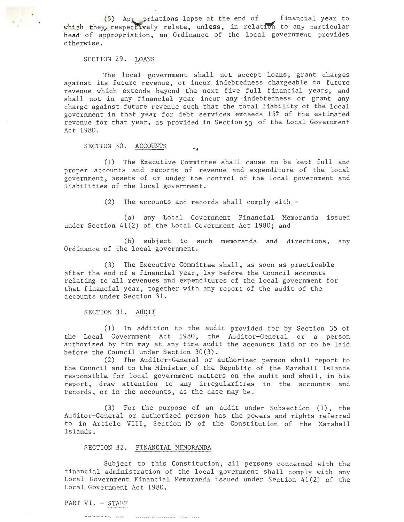\_(5) Ap riations. lapse at the end of which they, respectively relate, unless, in relati head of appropriation, an Ordinance of the local government provides otherwise. financial year to 1 to any particular

# SECTION 29. LOANS

*r* 

The local government shall not accept loans, grant charges against its future revenue, or incur indebtedness chargeable to future revenue which extends beyond the next five full financial years, and shall not in any financial year incur any indebtedness or grant any charge against future revenue such that the total liability of the local government in that year for debt services exceeds 15% of the estimated revenue for that year, as provided in Section  $50$  of the Local Government Act 1980.

## SECTION 30. ACCOUNTS

(1) The Executive Committee shall cause to be kept full and proper accounts and records of revenue and expenditure of the local government, assets of or under the control of the local government and liabilities of the local government.

(2) The accounts and records shall comply with  $-$ 

 $\ddot{\phantom{a}}$ 

(a) any Local Government Financial Memoranda issued under Section 41(2) of the Local Government Act 1980; and

(b) subject to such memoranda and directions, any Ordinance of the local government.

(3) The Executive Committee shall, as soon as practicable after the end of a financial year, lay before the Council accounts relating to all revenues and expenditures of the local government for that financial year, together with any report of the audit of the accounts under Section 31.

SECTION 31. AUDIT

(1) In addition to the audit provided for by Section 35 of the Local Government Act 1980, the Auditor-General or a person authorized by him may at any time audit the accounts laid or to be laid before the Council under Section 30(3).

(2) The Auditor~General or authorized person shall report to the Council and to the Minister of the Republic of the Marshall Islands responsible for local government matters on the audit and shall, in his report, draw attention to any irregularities in the accounts and records, or in the accounts, as the case may be.

(3) For the purpose of an audit under Subsection (1), the Auditor-General or authorized person has the powers and rights referred to in Article VIII, Section J5 of the Constitution of the Marshall Islands.

### SECTION 32. FINANCIAL MEMORANDA

Subject to this Constitution, all persons concerned with the financial administration of the local government shall comply with any Local Government Financial Memoranda issued under Section 41(2) of the Local Government Act 1980.

PART VI. - STAFF

 $\cdots$  $m = 1$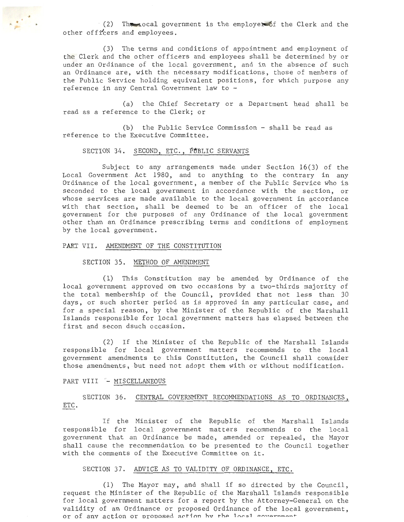(2) The rocal government is the employer of the Clerk and the other officers and employees.

(3) The terms and conditions of appointment and employment of the Clerk and the other officers and employees shall be determined by or under an Ordinance of the local government, and in the absence of such an Ordinance are, with the necessary modifications, those of members of the Public Service holding equivalent positions, for which purpose any reference in any Central Government law to -

(a) the Chief Secretary or a Department head shall be read as a reference to the Clerk; or

(b) the Public Service Commission - shall be read as reference to the Executive Committee.

## SECTION 34. SECOND, ETC., PUBLIC SERVANTS

Subject to any arrangements made under Section  $16(3)$  of the Local Government Act 1980, and to anything to the contrary in any Ordinance of the local government, a member of the Public Service who is seconded to the local government in accordance with the section, or whose services are made available to the local government in accordance with that section, shall be deemed to be an officer of the local government for the purposes of any Ordinance of the local government other than an Ordinance prescribing terms and conditions of employment by the local gpvernment.

#### PART VII. AMENDMENT OF THE CONSTITUTION

 $\mathcal{L}^{\mathcal{L}^{\mathcal{L}}}_{\mathcal{L}^{\mathcal{L}}}$  .

### SECTION 35. METHOD OF AMENDMENT

(L) This Constitution may be amended by Ordinance of the local government approved on two occasions by a two-thirds majority of the total membership of the Council, provided that not less than 30 days, or such shorter period as is approved in any particular case, and for a special reason, by the Minister of the Republic of the Marshall Islands responsible for local government matters has elapsed between the first and secon dsuch occasion.

(2) If the Minister of the Republic of the Marshall Islands responsible for local government matters recommends to the local government amendments to this Constitution, the Council shall consider those amendments, but need not adopt them with or without modification.

## PART VIII - MISCELLANEOUS

SECTION 36. CENTRAL GOVERNMENT RECOMMENDATIONS AS TO ORDINANCES, ETC.

If the Minister of the Republic of the Marshall Islands responsible for local government matters recommends to the local government that an Ordinance be made, amended or repealed, the Mayor shall cause the recommendation to be presented to the Council together with the comments of the Executive Committee on it.

#### SECTION 37. ADVICE AS TO VALIDITY OF ORDINANCE, ETC.

(1) The Mayor may, and shall if so directed by the Council, request the Minister of the Republic of the Marshall Islands responsible for local government matters for a report by the Attorney-General on the validity of an Ordinance or proposed Ordinance of the local government, or of any action or proposed action hy the local conternment